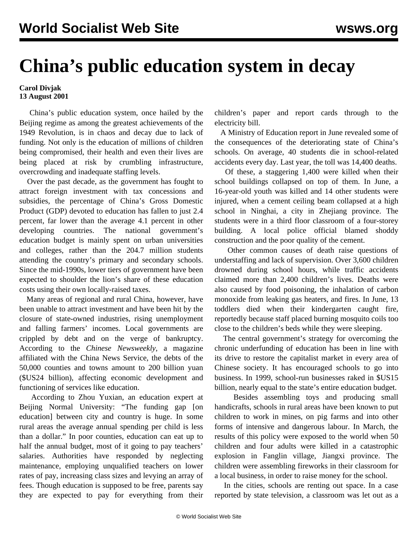## **China's public education system in decay**

## **Carol Divjak 13 August 2001**

 China's public education system, once hailed by the Beijing regime as among the greatest achievements of the 1949 Revolution, is in chaos and decay due to lack of funding. Not only is the education of millions of children being compromised, their health and even their lives are being placed at risk by crumbling infrastructure, overcrowding and inadequate staffing levels.

 Over the past decade, as the government has fought to attract foreign investment with tax concessions and subsidies, the percentage of China's Gross Domestic Product (GDP) devoted to education has fallen to just 2.4 percent, far lower than the average 4.1 percent in other developing countries. The national government's education budget is mainly spent on urban universities and colleges, rather than the 204.7 million students attending the country's primary and secondary schools. Since the mid-1990s, lower tiers of government have been expected to shoulder the lion's share of these education costs using their own locally-raised taxes.

 Many areas of regional and rural China, however, have been unable to attract investment and have been hit by the closure of state-owned industries, rising unemployment and falling farmers' incomes. Local governments are crippled by debt and on the verge of bankruptcy. According to the *Chinese Newsweekly*, a magazine affiliated with the China News Service, the debts of the 50,000 counties and towns amount to 200 billion yuan (\$US24 billion), affecting economic development and functioning of services like education.

 According to Zhou Yuxian, an education expert at Beijing Normal University: "The funding gap [on education] between city and country is huge. In some rural areas the average annual spending per child is less than a dollar." In poor counties, education can eat up to half the annual budget, most of it going to pay teachers' salaries. Authorities have responded by neglecting maintenance, employing unqualified teachers on lower rates of pay, increasing class sizes and levying an array of fees. Though education is supposed to be free, parents say they are expected to pay for everything from their

children's paper and report cards through to the electricity bill.

 A Ministry of Education report in June revealed some of the consequences of the deteriorating state of China's schools. On average, 40 students die in school-related accidents every day. Last year, the toll was 14,400 deaths.

 Of these, a staggering 1,400 were killed when their school buildings collapsed on top of them. In June, a 16-year-old youth was killed and 14 other students were injured, when a cement ceiling beam collapsed at a high school in Ninghai, a city in Zhejiang province. The students were in a third floor classroom of a four-storey building. A local police official blamed shoddy construction and the poor quality of the cement.

 Other common causes of death raise questions of understaffing and lack of supervision. Over 3,600 children drowned during school hours, while traffic accidents claimed more than 2,400 children's lives. Deaths were also caused by food poisoning, the inhalation of carbon monoxide from leaking gas heaters, and fires. In June, 13 toddlers died when their kindergarten caught fire, reportedly because staff placed burning mosquito coils too close to the children's beds while they were sleeping.

 The central government's strategy for overcoming the chronic underfunding of education has been in line with its drive to restore the capitalist market in every area of Chinese society. It has encouraged schools to go into business. In 1999, school-run businesses raked in \$US15 billion, nearly equal to the state's entire education budget.

 Besides assembling toys and producing small handicrafts, schools in rural areas have been known to put children to work in mines, on pig farms and into other forms of intensive and dangerous labour. In March, the results of this policy were exposed to the world when 50 children and four adults were killed in a catastrophic explosion in Fanglin village, Jiangxi province. The children were assembling fireworks in their classroom for a local business, in order to raise money for the school.

 In the cities, schools are renting out space. In a case reported by state television, a classroom was let out as a